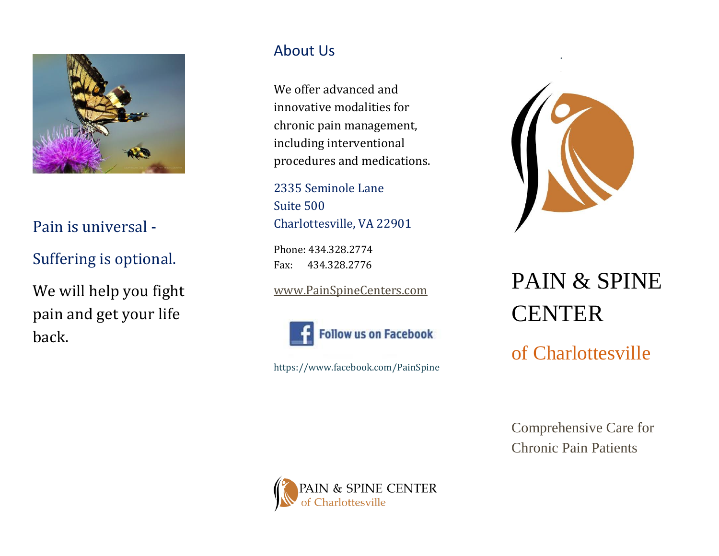

### Pain is universal -

Suffering is optional.

We will help you fight pain and get your life back.

#### About Us

We offer advanced and innovative modalities for chronic pain management, including interventional procedures and medications.

2335 Seminole Lane Suite 500 Charlottesville, VA 22901

Phone: 434.328.2774 Fax: 434.328.2776

[www.PainSpineCenters.com](http://www.painspinecenters.com/)



https://www.facebook.com/PainSpine



# PAIN & SPINE **CENTER**

of Charlottesville

Comprehensive Care for Chronic Pain Patients